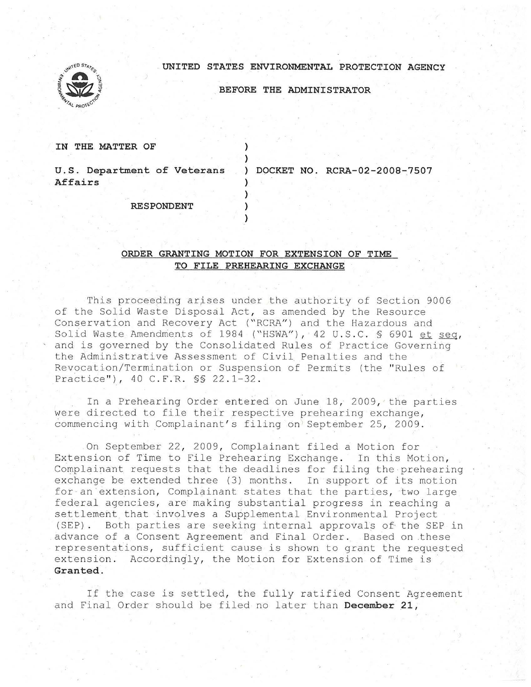## **. UNITED STATES ENVIRONMENTAL PROTECTION AGENCY**



**BEFORE THE ADMINISTRATOR** 

**IN THE MATTER OF** 

**U . S. Department of Veterans Affairs** 

) **DOCKET NO. RCRA-02-2008-7507** 

**RESPONDENT** 

## **ORDER GRANTING MOTION FOR EXTENSION OF TIME TO FILE PREHEARING EXCHANGE**

) )

) ) ) )

This proceeding arises under the authority of Section 9006 of the Solid Waste Disposal Act, as amended by the Resource Conservation and Recovery Act ("RCRA") and the Hazardous and Solid Waste Amendments of 1984 ("HSWA"), 42 U.S.C. § 6901 et seq. and is governed by the Consolidated Rules of Practice Governing the Administrative Assessment of Civil. Penalties and the Revocation/Termination or Suspension of Permits (the "Rules of Practice"), 40 C.F.R. \$\$ 22.1-32.

In a Prehearing Order entered on June 18, 2009, the parties were directed to file their respective prehearing exchange, commencing with Complainant's filing on September 25, 2009.

On September 22, 2009, Complainant filed a Motion for Extension of Time to File Prehearing Exchange. In this Motion, Complainant requests that the deadlines for filing the prehearing exchange be extended three (3) months. In support of its motion for an extension, Complainant states that the parties, two large federal agencies, are making substantial progress in reaching a settlement that involves a Supplemental Environmental Project (SEP) . Both parties are seeking internal approvals of· the SEP in advance of a Consent Agreement and Final Order. Based on .these representations, sufficient cause is shown to grant the requested extension. Accordingly, the Motion for Extension of Time is **Granted .** 

If the case is settled, the fully ratified Consent Agreement and Final Order should be filed no later than December 21,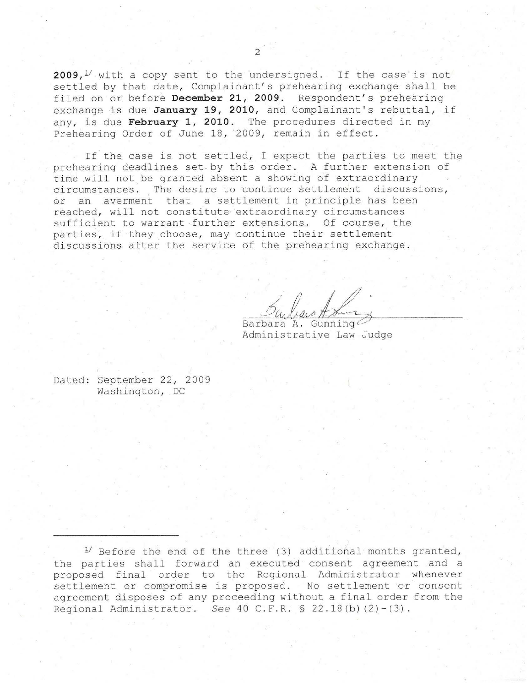2009,<sup>1</sup>/ with a copy sent to the undersigned. If the case is not settled by that date, Complainant's prehearing exchange shall be filed on or before **December 21, 2009**. Respondent's prehearing exchange is due January 19, 2010, and Complainant's rebuttal, if any, is due February 1, 2010. The procedures directed in mv Prehearing Order of June 18, 2009, remain in effect.

If the case is not settled, I expect the parties to meet the prehearing deadlines set . by this order. A further extension of time will not be granted absent a showing of extraordinary circumstances. The desire to continue settlement discussions, or an averment that a settlement in principle has been reached, will not constitute extraordinary circumstances sufficient to warrant further extensions. Of course, the parties, if they choose, may continue their settlement discussions after the service of the prehearing exchange .

Barbara A. Gunning Administrative Law Judge

Dated: September 22, 2009 Washington, DC

 $1/$  Before the end of the three (3) additional months granted, the parties shall forward an executed consent agreement . and a proposed final order to the Regional Administrator whenever settlement or compromise is proposed. No settlement or consent agreement disposes of any proceeding without a final order from the Regional Administrator. See  $40$  C.F.R.  $$ 22.18(b) (2)-(3)$ .